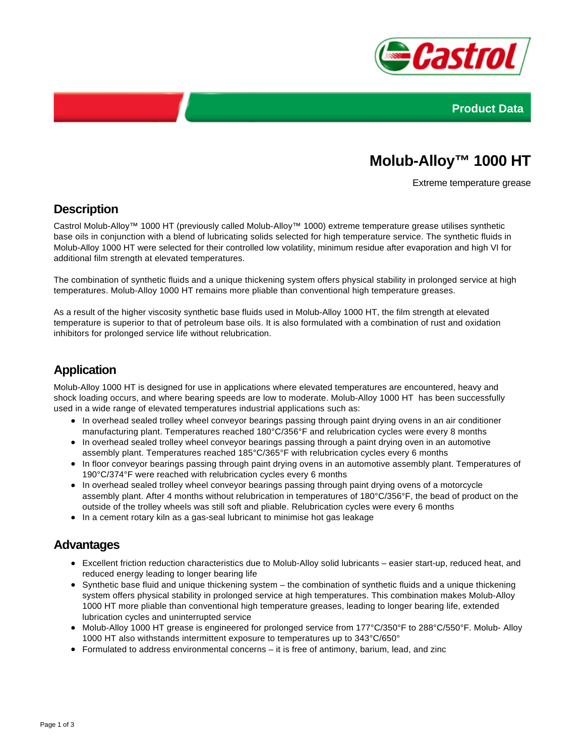



# **Molub-Alloy™ 1000 HT**

Extreme temperature grease

### **Description**

Castrol Molub-Alloy™ 1000 HT (previously called Molub-Alloy™ 1000) extreme temperature grease utilises synthetic base oils in conjunction with a blend of lubricating solids selected for high temperature service. The synthetic fluids in Molub-Alloy 1000 HT were selected for their controlled low volatility, minimum residue after evaporation and high VI for additional film strength at elevated temperatures.

The combination of synthetic fluids and a unique thickening system offers physical stability in prolonged service at high temperatures. Molub-Alloy 1000 HT remains more pliable than conventional high temperature greases.

As a result of the higher viscosity synthetic base fluids used in Molub-Alloy 1000 HT, the film strength at elevated temperature is superior to that of petroleum base oils. It is also formulated with a combination of rust and oxidation inhibitors for prolonged service life without relubrication.

# **Application**

Molub-Alloy 1000 HT is designed for use in applications where elevated temperatures are encountered, heavy and shock loading occurs, and where bearing speeds are low to moderate. Molub-Alloy 1000 HT has been successfully used in a wide range of elevated temperatures industrial applications such as:

- In overhead sealed trolley wheel conveyor bearings passing through paint drying ovens in an air conditioner manufacturing plant. Temperatures reached 180°C/356°F and relubrication cycles were every 8 months
- In overhead sealed trolley wheel conveyor bearings passing through a paint drying oven in an automotive assembly plant. Temperatures reached 185°C/365°F with relubrication cycles every 6 months
- In floor conveyor bearings passing through paint drying ovens in an automotive assembly plant. Temperatures of 190°C/374°F were reached with relubrication cycles every 6 months
- In overhead sealed trolley wheel conveyor bearings passing through paint drying ovens of a motorcycle assembly plant. After 4 months without relubrication in temperatures of 180°C/356°F, the bead of product on the outside of the trolley wheels was still soft and pliable. Relubrication cycles were every 6 months
- In a cement rotary kiln as a gas-seal lubricant to minimise hot gas leakage

#### **Advantages**

- Excellent friction reduction characteristics due to Molub-Alloy solid lubricants easier start-up, reduced heat, and reduced energy leading to longer bearing life
- Synthetic base fluid and unique thickening system the combination of synthetic fluids and a unique thickening system offers physical stability in prolonged service at high temperatures. This combination makes Molub-Alloy 1000 HT more pliable than conventional high temperature greases, leading to longer bearing life, extended lubrication cycles and uninterrupted service
- Molub-Alloy 1000 HT grease is engineered for prolonged service from 177°C/350°F to 288°C/550°F. Molub- Alloy 1000 HT also withstands intermittent exposure to temperatures up to 343°C/650°
- $\bullet$  Formulated to address environmental concerns it is free of antimony, barium, lead, and zinc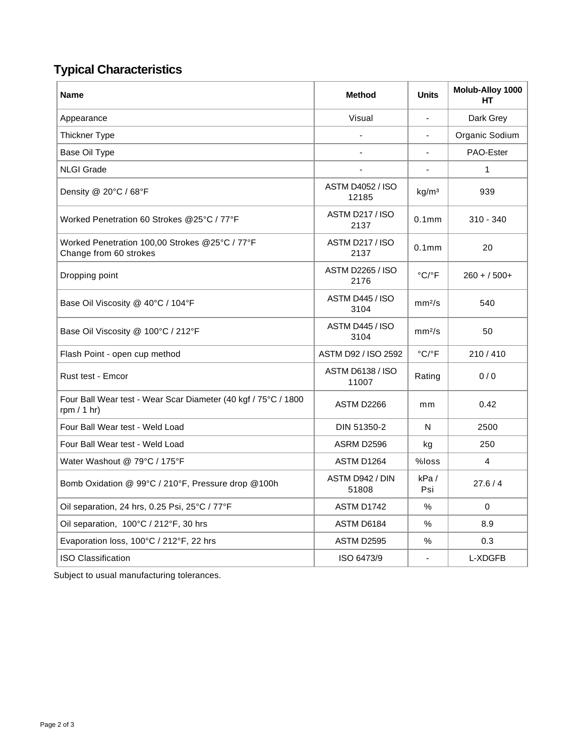# **Typical Characteristics**

| <b>Name</b>                                                                     | <b>Method</b>                    | <b>Units</b>               | Molub-Alloy 1000<br>HТ |
|---------------------------------------------------------------------------------|----------------------------------|----------------------------|------------------------|
| Appearance                                                                      | Visual                           | ä,                         | Dark Grey              |
| <b>Thickner Type</b>                                                            |                                  |                            | Organic Sodium         |
| Base Oil Type                                                                   |                                  |                            | PAO-Ester              |
| <b>NLGI Grade</b>                                                               | ä,                               | $\blacksquare$             | $\mathbf{1}$           |
| Density @ 20°C / 68°F                                                           | <b>ASTM D4052 / ISO</b><br>12185 | kg/m <sup>3</sup>          | 939                    |
| Worked Penetration 60 Strokes @25°C / 77°F                                      | <b>ASTM D217 / ISO</b><br>2137   | 0.1 <sub>mm</sub>          | $310 - 340$            |
| Worked Penetration 100,00 Strokes @25°C / 77°F<br>Change from 60 strokes        | <b>ASTM D217 / ISO</b><br>2137   | 0.1 <sub>mm</sub>          | 20                     |
| Dropping point                                                                  | <b>ASTM D2265 / ISO</b><br>2176  | $^{\circ}$ C/ $^{\circ}$ F | $260 + 500+$           |
| Base Oil Viscosity @ 40°C / 104°F                                               | ASTM D445 / ISO<br>3104          | mm <sup>2</sup> /s         | 540                    |
| Base Oil Viscosity @ 100°C / 212°F                                              | ASTM D445 / ISO<br>3104          | mm <sup>2</sup> /s         | 50                     |
| Flash Point - open cup method                                                   | ASTM D92 / ISO 2592              | $^{\circ}$ C/ $^{\circ}$ F | 210/410                |
| Rust test - Emcor                                                               | ASTM D6138 / ISO<br>11007        | Rating                     | 0/0                    |
| Four Ball Wear test - Wear Scar Diameter (40 kgf / 75°C / 1800<br>rpm $/ 1$ hr) | ASTM D2266                       | mm                         | 0.42                   |
| Four Ball Wear test - Weld Load                                                 | DIN 51350-2                      | N                          | 2500                   |
| Four Ball Wear test - Weld Load                                                 | ASRM D2596                       | kg                         | 250                    |
| Water Washout @ 79°C / 175°F                                                    | ASTM D1264                       | %loss                      | 4                      |
| Bomb Oxidation @ 99°C / 210°F, Pressure drop @100h                              | ASTM D942 / DIN<br>51808         | kPa/<br>Psi                | 27.6/4                 |
| Oil separation, 24 hrs, 0.25 Psi, 25°C / 77°F                                   | ASTM D1742                       | %                          | 0                      |
| Oil separation, 100°C / 212°F, 30 hrs                                           | ASTM D6184                       | $\%$                       | 8.9                    |
| Evaporation loss, 100°C / 212°F, 22 hrs                                         | ASTM D2595                       | ℅                          | 0.3                    |
| <b>ISO Classification</b>                                                       | ISO 6473/9                       |                            | L-XDGFB                |

Subject to usual manufacturing tolerances.